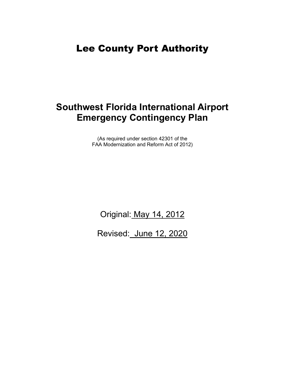## Lee County Port Authority

# **Southwest Florida International Airport Emergency Contingency Plan**

(As required under section 42301 of the FAA Modernization and Reform Act of 2012)

Original: May 14, 2012

Revised: June 12, 2020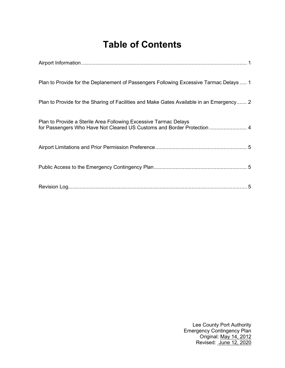# **Table of Contents**

| Plan to Provide for the Deplanement of Passengers Following Excessive Tarmac Delays  1                                                      |
|---------------------------------------------------------------------------------------------------------------------------------------------|
| Plan to Provide for the Sharing of Facilities and Make Gates Available in an Emergency 2                                                    |
| Plan to Provide a Sterile Area Following Excessive Tarmac Delays<br>for Passengers Who Have Not Cleared US Customs and Border Protection  4 |
|                                                                                                                                             |
|                                                                                                                                             |
|                                                                                                                                             |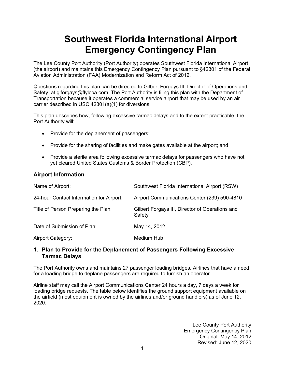# **Southwest Florida International Airport Emergency Contingency Plan**

The Lee County Port Authority (Port Authority) operates Southwest Florida International Airport (the airport) and maintains this Emergency Contingency Plan pursuant to §42301 of the Federal Aviation Administration (FAA) Modernization and Reform Act of 2012.

Questions regarding this plan can be directed to Gilbert Forgays III, Director of Operations and Safety, at giforgays@flylcpa.com. The Port Authority is filing this plan with the Department of Transportation because it operates a commercial service airport that may be used by an air carrier described in USC 42301(a)(1) for diversions.

This plan describes how, following excessive tarmac delays and to the extent practicable, the Port Authority will:

- Provide for the deplanement of passengers;
- Provide for the sharing of facilities and make gates available at the airport; and
- Provide a sterile area following excessive tarmac delays for passengers who have not yet cleared United States Customs & Border Protection (CBP).

#### <span id="page-2-0"></span>**Airport Information**

| Name of Airport:                         | Southwest Florida International Airport (RSW)             |
|------------------------------------------|-----------------------------------------------------------|
| 24-hour Contact Information for Airport: | Airport Communications Center (239) 590-4810              |
| Title of Person Preparing the Plan:      | Gilbert Forgays III, Director of Operations and<br>Safety |
| Date of Submission of Plan:              | May 14, 2012                                              |
| <b>Airport Category:</b>                 | Medium Hub                                                |

#### <span id="page-2-1"></span>**1. Plan to Provide for the Deplanement of Passengers Following Excessive Tarmac Delays**

The Port Authority owns and maintains 27 passenger loading bridges. Airlines that have a need for a loading bridge to deplane passengers are required to furnish an operator.

Airline staff may call the Airport Communications Center 24 hours a day, 7 days a week for loading bridge requests. The table below identifies the ground support equipment available on the airfield (most equipment is owned by the airlines and/or ground handlers) as of June 12, 2020.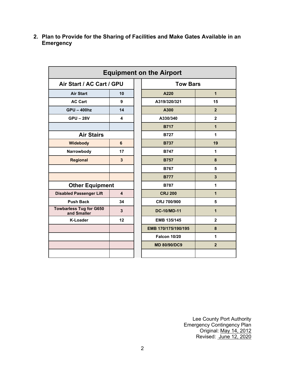| <b>Equipment on the Airport</b>               |                         |  |                     |                |  |  |
|-----------------------------------------------|-------------------------|--|---------------------|----------------|--|--|
| Air Start / AC Cart / GPU                     |                         |  | <b>Tow Bars</b>     |                |  |  |
| <b>Air Start</b>                              | 10                      |  | A220                | $\overline{1}$ |  |  |
| <b>AC Cart</b>                                | 9                       |  | A319/320/321        | 15             |  |  |
| <b>GPU - 400hz</b>                            | 14                      |  | A300                | $\overline{2}$ |  |  |
| <b>GPU-28V</b>                                | 4                       |  | A330/340            | $\overline{2}$ |  |  |
|                                               |                         |  | <b>B717</b>         | $\mathbf 1$    |  |  |
| <b>Air Stairs</b>                             |                         |  | <b>B727</b>         | 1              |  |  |
| Widebody                                      | 6                       |  | <b>B737</b>         | 19             |  |  |
| Narrowbody                                    | 17                      |  | <b>B747</b>         | 1              |  |  |
| <b>Regional</b>                               | $\overline{3}$          |  | <b>B757</b>         | 8              |  |  |
|                                               |                         |  | <b>B767</b>         | 5              |  |  |
|                                               |                         |  | <b>B777</b>         | 3              |  |  |
| <b>Other Equipment</b>                        |                         |  | <b>B787</b>         | 1              |  |  |
| <b>Disabled Passenger Lift</b>                | $\overline{\mathbf{4}}$ |  | <b>CRJ 200</b>      | $\mathbf 1$    |  |  |
| <b>Push Back</b>                              | 34                      |  | CRJ 700/900         | 5              |  |  |
| <b>Towbarless Tug for G650</b><br>and Smaller | $\overline{3}$          |  | <b>DC-10/MD-11</b>  | $\mathbf{1}$   |  |  |
| <b>K-Loader</b>                               | 12                      |  | EMB 135/145         | $\overline{2}$ |  |  |
|                                               |                         |  | EMB 170/175/190/195 | 8              |  |  |
|                                               |                         |  | <b>Falcon 10/20</b> | 1              |  |  |
|                                               |                         |  | <b>MD 80/90/DC9</b> | $\overline{2}$ |  |  |
|                                               |                         |  |                     |                |  |  |

<span id="page-3-0"></span>**2. Plan to Provide for the Sharing of Facilities and Make Gates Available in an Emergency**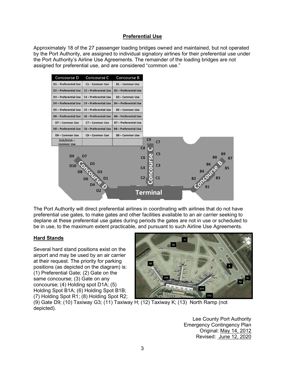#### **Preferential Use**

Approximately 18 of the 27 passenger loading bridges owned and maintained, but not operated by the Port Authority, are assigned to individual signatory airlines for their preferential use under the Port Authority's Airline Use Agreements. The remainder of the loading bridges are not assigned for preferential use, and are considered "common use."



The Port Authority will direct preferential airlines in coordinating with airlines that do not have preferential use gates, to make gates and other facilities available to an air carrier seeking to deplane at these preferential use gates during periods the gates are not in use or scheduled to be in use, to the maximum extent practicable, and pursuant to such Airline Use Agreements.

#### **Hard Stands**

Several hard stand positions exist on the airport and may be used by an air carrier at their request. The priority for parking positions (as depicted on the diagram) is: (1) Preferential Gate; (2) Gate on the same concourse; (3) Gate on any concourse; (4) Holding spot D1A; (5) Holding Spot B1A; (6) Holding Spot B1B; (7) Holding Spot R1; (8) Holding Spot R2;



(9) Gate D9; (10) Taxiway G3; (11) Taxiway H; (12) Taxiway K; (13) North Ramp (not depicted).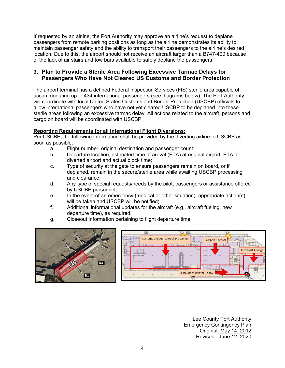If requested by an airline, the Port Authority may approve an airline's request to deplane passengers from remote parking positions as long as the airline demonstrates its ability to maintain passenger safety and the ability to transport their passengers to the airline's desired location. Due to this, the airport should not receive an aircraft larger than a B747-400 because of the lack of air stairs and tow bars available to safely deplane the passengers.

### <span id="page-5-0"></span>**3. Plan to Provide a Sterile Area Following Excessive Tarmac Delays for Passengers Who Have Not Cleared US Customs and Border Protection**

The airport terminal has a defined Federal Inspection Services (FIS) sterile area capable of accommodating up to 434 international passengers (see diagrams below). The Port Authority will coordinate with local United States Customs and Border Protection (USCBP) officials to allow international passengers who have not yet cleared USCBP to be deplaned into these sterile areas following an excessive tarmac delay. All actions related to the aircraft, persons and cargo on board will be coordinated with USCBP.

#### **Reporting Requirements for all International Flight Diversions:**

Per USCBP, the following information shall be provided by the diverting airline to USCBP as soon as possible:

- a. Flight number, original destination and passenger count;
- b. Departure location, estimated time of arrival (ETA) at original airport, ETA at diverted airport and actual block time;
- c. Type of security at the gate to ensure passengers remain on board, or if deplaned, remain in the secure/sterile area while awaiting USCBP processing and clearance;
- d. Any type of special requests/needs by the pilot, passengers or assistance offered by USCBP personnel;
- e. In the event of an emergency (medical or other situation), appropriate action(s) will be taken and USCBP will be notified;
- f. Additional informational updates for the aircraft (e.g., aircraft fueling, new departure time), as required;
- g. Closeout information pertaining to flight departure time.